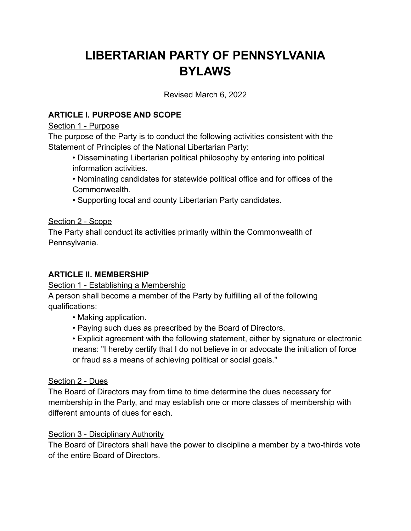# **LIBERTARIAN PARTY OF PENNSYLVANIA BYLAWS**

Revised March 6, 2022

# **ARTICLE I. PURPOSE AND SCOPE**

#### Section 1 - Purpose

The purpose of the Party is to conduct the following activities consistent with the Statement of Principles of the National Libertarian Party:

- Disseminating Libertarian political philosophy by entering into political information activities.
- Nominating candidates for statewide political office and for offices of the Commonwealth.
- Supporting local and county Libertarian Party candidates.

# Section 2 - Scope

The Party shall conduct its activities primarily within the Commonwealth of Pennsylvania.

# **ARTICLE II. MEMBERSHIP**

# Section 1 - Establishing a Membership

A person shall become a member of the Party by fulfilling all of the following qualifications:

- Making application.
- Paying such dues as prescribed by the Board of Directors.

• Explicit agreement with the following statement, either by signature or electronic means: "I hereby certify that I do not believe in or advocate the initiation of force or fraud as a means of achieving political or social goals."

# Section 2 - Dues

The Board of Directors may from time to time determine the dues necessary for membership in the Party, and may establish one or more classes of membership with different amounts of dues for each.

# Section 3 - Disciplinary Authority

The Board of Directors shall have the power to discipline a member by a two-thirds vote of the entire Board of Directors.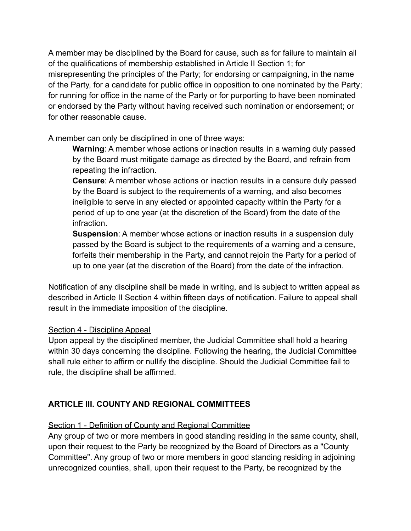A member may be disciplined by the Board for cause, such as for failure to maintain all of the qualifications of membership established in Article II Section 1; for misrepresenting the principles of the Party; for endorsing or campaigning, in the name of the Party, for a candidate for public office in opposition to one nominated by the Party; for running for office in the name of the Party or for purporting to have been nominated or endorsed by the Party without having received such nomination or endorsement; or for other reasonable cause.

A member can only be disciplined in one of three ways:

**Warning**: A member whose actions or inaction results in a warning duly passed by the Board must mitigate damage as directed by the Board, and refrain from repeating the infraction.

**Censure**: A member whose actions or inaction results in a censure duly passed by the Board is subject to the requirements of a warning, and also becomes ineligible to serve in any elected or appointed capacity within the Party for a period of up to one year (at the discretion of the Board) from the date of the infraction.

**Suspension**: A member whose actions or inaction results in a suspension duly passed by the Board is subject to the requirements of a warning and a censure, forfeits their membership in the Party, and cannot rejoin the Party for a period of up to one year (at the discretion of the Board) from the date of the infraction.

Notification of any discipline shall be made in writing, and is subject to written appeal as described in Article II Section 4 within fifteen days of notification. Failure to appeal shall result in the immediate imposition of the discipline.

# Section 4 - Discipline Appeal

Upon appeal by the disciplined member, the Judicial Committee shall hold a hearing within 30 days concerning the discipline. Following the hearing, the Judicial Committee shall rule either to affirm or nullify the discipline. Should the Judicial Committee fail to rule, the discipline shall be affirmed.

# **ARTICLE III. COUNTY AND REGIONAL COMMITTEES**

# Section 1 - Definition of County and Regional Committee

Any group of two or more members in good standing residing in the same county, shall, upon their request to the Party be recognized by the Board of Directors as a "County Committee". Any group of two or more members in good standing residing in adjoining unrecognized counties, shall, upon their request to the Party, be recognized by the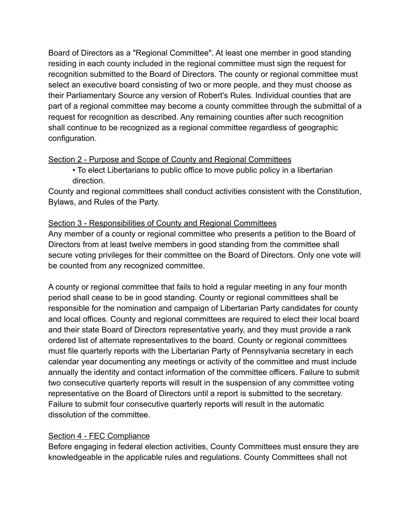Board of Directors as a "Regional Committee". At least one member in good standing residing in each county included in the regional committee must sign the request for recognition submitted to the Board of Directors. The county or regional committee must select an executive board consisting of two or more people, and they must choose as their Parliamentary Source any version of Robert's Rules. Individual counties that are part of a regional committee may become a county committee through the submittal of a request for recognition as described. Any remaining counties after such recognition shall continue to be recognized as a regional committee regardless of geographic configuration.

# Section 2 - Purpose and Scope of County and Regional Committees

• To elect Libertarians to public office to move public policy in a libertarian direction.

County and regional committees shall conduct activities consistent with the Constitution, Bylaws, and Rules of the Party.

# Section 3 - Responsibilities of County and Regional Committees

Any member of a county or regional committee who presents a petition to the Board of Directors from at least twelve members in good standing from the committee shall secure voting privileges for their committee on the Board of Directors. Only one vote will be counted from any recognized committee.

A county or regional committee that fails to hold a regular meeting in any four month period shall cease to be in good standing. County or regional committees shall be responsible for the nomination and campaign of Libertarian Party candidates for county and local offices. County and regional committees are required to elect their local board and their state Board of Directors representative yearly, and they must provide a rank ordered list of alternate representatives to the board. County or regional committees must file quarterly reports with the Libertarian Party of Pennsylvania secretary in each calendar year documenting any meetings or activity of the committee and must include annually the identity and contact information of the committee officers. Failure to submit two consecutive quarterly reports will result in the suspension of any committee voting representative on the Board of Directors until a report is submitted to the secretary. Failure to submit four consecutive quarterly reports will result in the automatic dissolution of the committee.

### Section 4 - FEC Compliance

Before engaging in federal election activities, County Committees must ensure they are knowledgeable in the applicable rules and regulations. County Committees shall not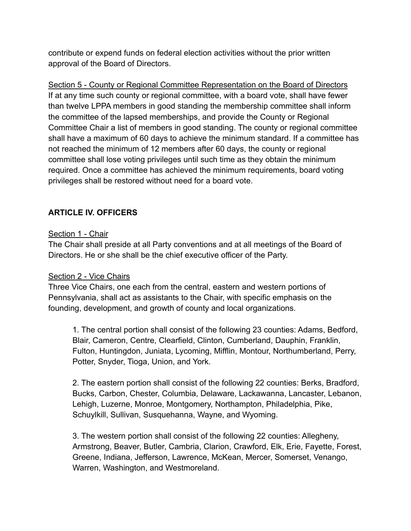contribute or expend funds on federal election activities without the prior written approval of the Board of Directors.

Section 5 - County or Regional Committee Representation on the Board of Directors If at any time such county or regional committee, with a board vote, shall have fewer than twelve LPPA members in good standing the membership committee shall inform the committee of the lapsed memberships, and provide the County or Regional Committee Chair a list of members in good standing. The county or regional committee shall have a maximum of 60 days to achieve the minimum standard. If a committee has not reached the minimum of 12 members after 60 days, the county or regional committee shall lose voting privileges until such time as they obtain the minimum required. Once a committee has achieved the minimum requirements, board voting privileges shall be restored without need for a board vote.

# **ARTICLE IV. OFFICERS**

#### Section 1 - Chair

The Chair shall preside at all Party conventions and at all meetings of the Board of Directors. He or she shall be the chief executive officer of the Party.

#### Section 2 - Vice Chairs

Three Vice Chairs, one each from the central, eastern and western portions of Pennsylvania, shall act as assistants to the Chair, with specific emphasis on the founding, development, and growth of county and local organizations.

1. The central portion shall consist of the following 23 counties: Adams, Bedford, Blair, Cameron, Centre, Clearfield, Clinton, Cumberland, Dauphin, Franklin, Fulton, Huntingdon, Juniata, Lycoming, Mifflin, Montour, Northumberland, Perry, Potter, Snyder, Tioga, Union, and York.

2. The eastern portion shall consist of the following 22 counties: Berks, Bradford, Bucks, Carbon, Chester, Columbia, Delaware, Lackawanna, Lancaster, Lebanon, Lehigh, Luzerne, Monroe, Montgomery, Northampton, Philadelphia, Pike, Schuylkill, Sullivan, Susquehanna, Wayne, and Wyoming.

3. The western portion shall consist of the following 22 counties: Allegheny, Armstrong, Beaver, Butler, Cambria, Clarion, Crawford, Elk, Erie, Fayette, Forest, Greene, Indiana, Jefferson, Lawrence, McKean, Mercer, Somerset, Venango, Warren, Washington, and Westmoreland.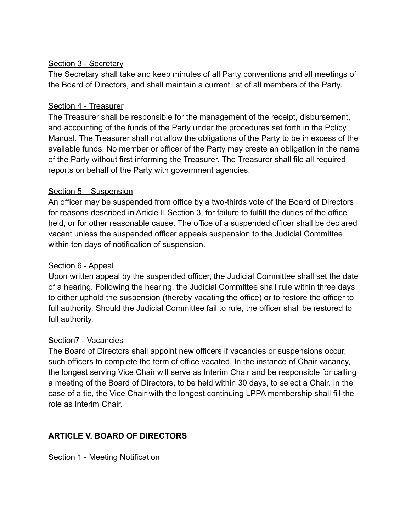### Section 3 - Secretary

The Secretary shall take and keep minutes of all Party conventions and all meetings of the Board of Directors, and shall maintain a current list of all members of the Party.

#### Section 4 - Treasurer

The Treasurer shall be responsible for the management of the receipt, disbursement, and accounting of the funds of the Party under the procedures set forth in the Policy Manual. The Treasurer shall not allow the obligations of the Party to be in excess of the available funds. No member or officer of the Party may create an obligation in the name of the Party without first informing the Treasurer. The Treasurer shall file all required reports on behalf of the Party with government agencies.

#### Section 5 – Suspension

An officer may be suspended from office by a two-thirds vote of the Board of Directors for reasons described in Article II Section 3, for failure to fulfill the duties of the office held, or for other reasonable cause. The office of a suspended officer shall be declared vacant unless the suspended officer appeals suspension to the Judicial Committee within ten days of notification of suspension.

### Section 6 - Appeal

Upon written appeal by the suspended officer, the Judicial Committee shall set the date of a hearing. Following the hearing, the Judicial Committee shall rule within three days to either uphold the suspension (thereby vacating the office) or to restore the officer to full authority. Should the Judicial Committee fail to rule, the officer shall be restored to full authority.

#### Section7 - Vacancies

The Board of Directors shall appoint new officers if vacancies or suspensions occur, such officers to complete the term of office vacated. In the instance of Chair vacancy, the longest serving Vice Chair will serve as Interim Chair and be responsible for calling a meeting of the Board of Directors, to be held within 30 days, to select a Chair. In the case of a tie, the Vice Chair with the longest continuing LPPA membership shall fill the role as Interim Chair.

### **ARTICLE V. BOARD OF DIRECTORS**

Section 1 - Meeting Notification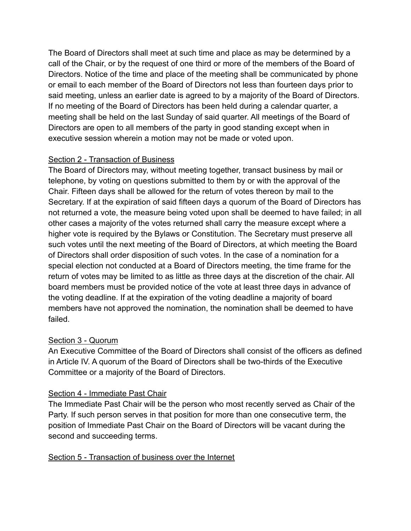The Board of Directors shall meet at such time and place as may be determined by a call of the Chair, or by the request of one third or more of the members of the Board of Directors. Notice of the time and place of the meeting shall be communicated by phone or email to each member of the Board of Directors not less than fourteen days prior to said meeting, unless an earlier date is agreed to by a majority of the Board of Directors. If no meeting of the Board of Directors has been held during a calendar quarter, a meeting shall be held on the last Sunday of said quarter. All meetings of the Board of Directors are open to all members of the party in good standing except when in executive session wherein a motion may not be made or voted upon.

### Section 2 - Transaction of Business

The Board of Directors may, without meeting together, transact business by mail or telephone, by voting on questions submitted to them by or with the approval of the Chair. Fifteen days shall be allowed for the return of votes thereon by mail to the Secretary. If at the expiration of said fifteen days a quorum of the Board of Directors has not returned a vote, the measure being voted upon shall be deemed to have failed; in all other cases a majority of the votes returned shall carry the measure except where a higher vote is required by the Bylaws or Constitution. The Secretary must preserve all such votes until the next meeting of the Board of Directors, at which meeting the Board of Directors shall order disposition of such votes. In the case of a nomination for a special election not conducted at a Board of Directors meeting, the time frame for the return of votes may be limited to as little as three days at the discretion of the chair. All board members must be provided notice of the vote at least three days in advance of the voting deadline. If at the expiration of the voting deadline a majority of board members have not approved the nomination, the nomination shall be deemed to have failed.

# Section 3 - Quorum

An Executive Committee of the Board of Directors shall consist of the officers as defined in Article IV. A quorum of the Board of Directors shall be two-thirds of the Executive Committee or a majority of the Board of Directors.

# Section 4 - Immediate Past Chair

The Immediate Past Chair will be the person who most recently served as Chair of the Party. If such person serves in that position for more than one consecutive term, the position of Immediate Past Chair on the Board of Directors will be vacant during the second and succeeding terms.

### Section 5 - Transaction of business over the Internet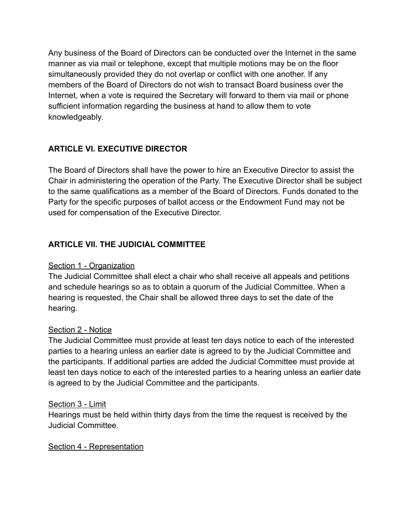Any business of the Board of Directors can be conducted over the Internet in the same manner as via mail or telephone, except that multiple motions may be on the floor simultaneously provided they do not overlap or conflict with one another. If any members of the Board of Directors do not wish to transact Board business over the Internet, when a vote is required the Secretary will forward to them via mail or phone sufficient information regarding the business at hand to allow them to vote knowledgeably.

# **ARTICLE VI. EXECUTIVE DIRECTOR**

The Board of Directors shall have the power to hire an Executive Director to assist the Chair in administering the operation of the Party. The Executive Director shall be subject to the same qualifications as a member of the Board of Directors. Funds donated to the Party for the specific purposes of ballot access or the Endowment Fund may not be used for compensation of the Executive Director.

# **ARTICLE VII. THE JUDICIAL COMMITTEE**

### Section 1 - Organization

The Judicial Committee shall elect a chair who shall receive all appeals and petitions and schedule hearings so as to obtain a quorum of the Judicial Committee. When a hearing is requested, the Chair shall be allowed three days to set the date of the hearing.

#### Section 2 - Notice

The Judicial Committee must provide at least ten days notice to each of the interested parties to a hearing unless an earlier date is agreed to by the Judicial Committee and the participants. If additional parties are added the Judicial Committee must provide at least ten days notice to each of the interested parties to a hearing unless an earlier date is agreed to by the Judicial Committee and the participants.

#### Section 3 - Limit

Hearings must be held within thirty days from the time the request is received by the Judicial Committee.

#### Section 4 - Representation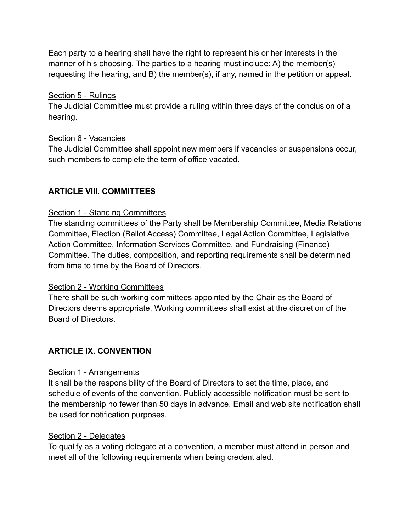Each party to a hearing shall have the right to represent his or her interests in the manner of his choosing. The parties to a hearing must include: A) the member(s) requesting the hearing, and B) the member(s), if any, named in the petition or appeal.

#### Section 5 - Rulings

The Judicial Committee must provide a ruling within three days of the conclusion of a hearing.

#### Section 6 - Vacancies

The Judicial Committee shall appoint new members if vacancies or suspensions occur, such members to complete the term of office vacated.

# **ARTICLE VIII. COMMITTEES**

### Section 1 - Standing Committees

The standing committees of the Party shall be Membership Committee, Media Relations Committee, Election (Ballot Access) Committee, Legal Action Committee, Legislative Action Committee, Information Services Committee, and Fundraising (Finance) Committee. The duties, composition, and reporting requirements shall be determined from time to time by the Board of Directors.

### Section 2 - Working Committees

There shall be such working committees appointed by the Chair as the Board of Directors deems appropriate. Working committees shall exist at the discretion of the Board of Directors.

### **ARTICLE IX. CONVENTION**

### Section 1 - Arrangements

It shall be the responsibility of the Board of Directors to set the time, place, and schedule of events of the convention. Publicly accessible notification must be sent to the membership no fewer than 50 days in advance. Email and web site notification shall be used for notification purposes.

#### Section 2 - Delegates

To qualify as a voting delegate at a convention, a member must attend in person and meet all of the following requirements when being credentialed.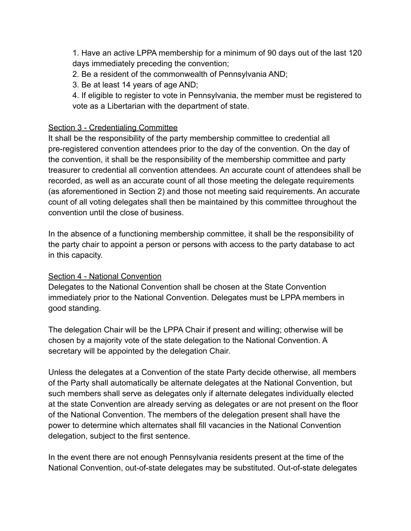1. Have an active LPPA membership for a minimum of 90 days out of the last 120 days immediately preceding the convention;

2. Be a resident of the commonwealth of Pennsylvania AND;

3. Be at least 14 years of age AND;

4. If eligible to register to vote in Pennsylvania, the member must be registered to vote as a Libertarian with the department of state.

### Section 3 - Credentialing Committee

It shall be the responsibility of the party membership committee to credential all pre-registered convention attendees prior to the day of the convention. On the day of the convention, it shall be the responsibility of the membership committee and party treasurer to credential all convention attendees. An accurate count of attendees shall be recorded, as well as an accurate count of all those meeting the delegate requirements (as aforementioned in Section 2) and those not meeting said requirements. An accurate count of all voting delegates shall then be maintained by this committee throughout the convention until the close of business.

In the absence of a functioning membership committee, it shall be the responsibility of the party chair to appoint a person or persons with access to the party database to act in this capacity.

### Section 4 - National Convention

Delegates to the National Convention shall be chosen at the State Convention immediately prior to the National Convention. Delegates must be LPPA members in good standing.

The delegation Chair will be the LPPA Chair if present and willing; otherwise will be chosen by a majority vote of the state delegation to the National Convention. A secretary will be appointed by the delegation Chair.

Unless the delegates at a Convention of the state Party decide otherwise, all members of the Party shall automatically be alternate delegates at the National Convention, but such members shall serve as delegates only if alternate delegates individually elected at the state Convention are already serving as delegates or are not present on the floor of the National Convention. The members of the delegation present shall have the power to determine which alternates shall fill vacancies in the National Convention delegation, subject to the first sentence.

In the event there are not enough Pennsylvania residents present at the time of the National Convention, out-of-state delegates may be substituted. Out-of-state delegates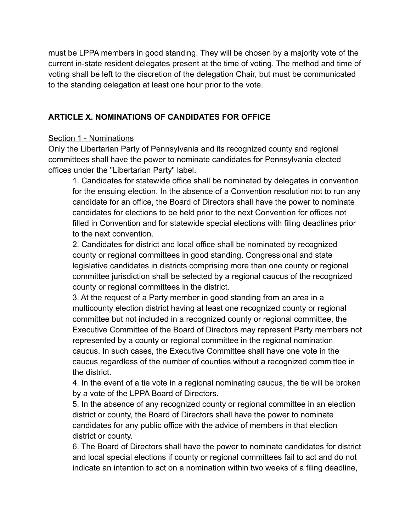must be LPPA members in good standing. They will be chosen by a majority vote of the current in-state resident delegates present at the time of voting. The method and time of voting shall be left to the discretion of the delegation Chair, but must be communicated to the standing delegation at least one hour prior to the vote.

# **ARTICLE X. NOMINATIONS OF CANDIDATES FOR OFFICE**

#### Section 1 - Nominations

Only the Libertarian Party of Pennsylvania and its recognized county and regional committees shall have the power to nominate candidates for Pennsylvania elected offices under the "Libertarian Party" label.

1. Candidates for statewide office shall be nominated by delegates in convention for the ensuing election. In the absence of a Convention resolution not to run any candidate for an office, the Board of Directors shall have the power to nominate candidates for elections to be held prior to the next Convention for offices not filled in Convention and for statewide special elections with filing deadlines prior to the next convention.

2. Candidates for district and local office shall be nominated by recognized county or regional committees in good standing. Congressional and state legislative candidates in districts comprising more than one county or regional committee jurisdiction shall be selected by a regional caucus of the recognized county or regional committees in the district.

3. At the request of a Party member in good standing from an area in a multicounty election district having at least one recognized county or regional committee but not included in a recognized county or regional committee, the Executive Committee of the Board of Directors may represent Party members not represented by a county or regional committee in the regional nomination caucus. In such cases, the Executive Committee shall have one vote in the caucus regardless of the number of counties without a recognized committee in the district.

4. In the event of a tie vote in a regional nominating caucus, the tie will be broken by a vote of the LPPA Board of Directors.

5. In the absence of any recognized county or regional committee in an election district or county, the Board of Directors shall have the power to nominate candidates for any public office with the advice of members in that election district or county.

6. The Board of Directors shall have the power to nominate candidates for district and local special elections if county or regional committees fail to act and do not indicate an intention to act on a nomination within two weeks of a filing deadline,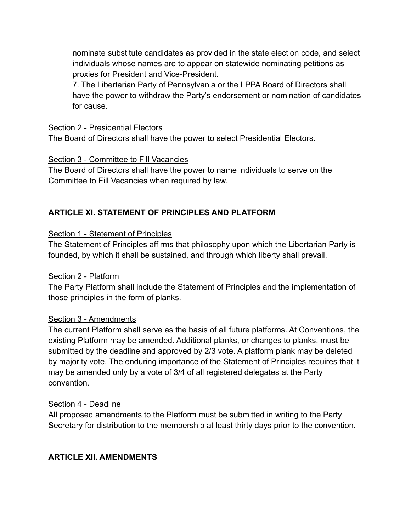nominate substitute candidates as provided in the state election code, and select individuals whose names are to appear on statewide nominating petitions as proxies for President and Vice-President.

7. The Libertarian Party of Pennsylvania or the LPPA Board of Directors shall have the power to withdraw the Party's endorsement or nomination of candidates for cause.

#### Section 2 - Presidential Electors

The Board of Directors shall have the power to select Presidential Electors.

### Section 3 - Committee to Fill Vacancies

The Board of Directors shall have the power to name individuals to serve on the Committee to Fill Vacancies when required by law.

# **ARTICLE XI. STATEMENT OF PRINCIPLES AND PLATFORM**

#### Section 1 - Statement of Principles

The Statement of Principles affirms that philosophy upon which the Libertarian Party is founded, by which it shall be sustained, and through which liberty shall prevail.

### Section 2 - Platform

The Party Platform shall include the Statement of Principles and the implementation of those principles in the form of planks.

### Section 3 - Amendments

The current Platform shall serve as the basis of all future platforms. At Conventions, the existing Platform may be amended. Additional planks, or changes to planks, must be submitted by the deadline and approved by 2/3 vote. A platform plank may be deleted by majority vote. The enduring importance of the Statement of Principles requires that it may be amended only by a vote of 3/4 of all registered delegates at the Party convention.

#### Section 4 - Deadline

All proposed amendments to the Platform must be submitted in writing to the Party Secretary for distribution to the membership at least thirty days prior to the convention.

### **ARTICLE XII. AMENDMENTS**